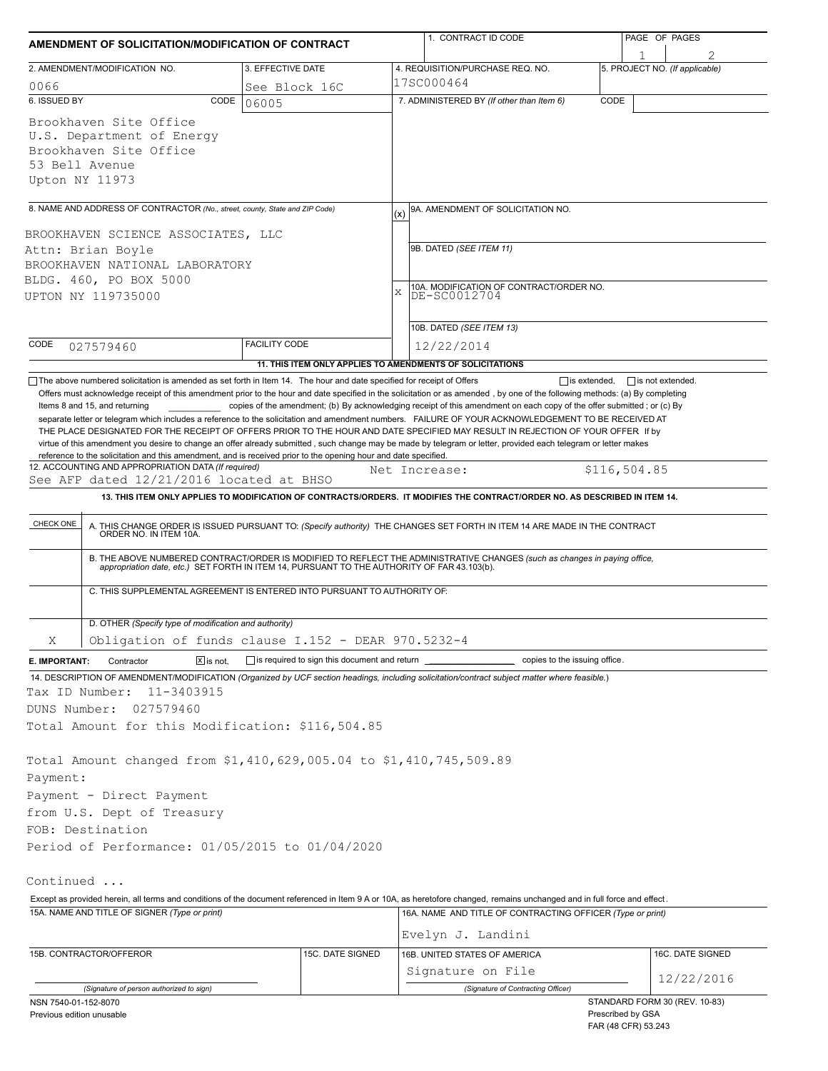| AMENDMENT OF SOLICITATION/MODIFICATION OF CONTRACT                                                                                                                                                                                                                                                                                                                                                                                                                                                                                                                                                                                                                              |                              |                                                                          |     | 1. CONTRACT ID CODE                                                                                                                                                                                                   |      |                                     | PAGE OF PAGES    |  |
|---------------------------------------------------------------------------------------------------------------------------------------------------------------------------------------------------------------------------------------------------------------------------------------------------------------------------------------------------------------------------------------------------------------------------------------------------------------------------------------------------------------------------------------------------------------------------------------------------------------------------------------------------------------------------------|------------------------------|--------------------------------------------------------------------------|-----|-----------------------------------------------------------------------------------------------------------------------------------------------------------------------------------------------------------------------|------|-------------------------------------|------------------|--|
| 2. AMENDMENT/MODIFICATION NO.                                                                                                                                                                                                                                                                                                                                                                                                                                                                                                                                                                                                                                                   |                              | 3. EFFECTIVE DATE                                                        |     | 4. REQUISITION/PURCHASE REQ. NO.                                                                                                                                                                                      |      | 1<br>5. PROJECT NO. (If applicable) |                  |  |
| 0066                                                                                                                                                                                                                                                                                                                                                                                                                                                                                                                                                                                                                                                                            |                              | See Block 16C                                                            |     | 17SC000464                                                                                                                                                                                                            |      |                                     |                  |  |
| 6. ISSUED BY                                                                                                                                                                                                                                                                                                                                                                                                                                                                                                                                                                                                                                                                    | CODE                         | 06005                                                                    |     | 7. ADMINISTERED BY (If other than Item 6)                                                                                                                                                                             | CODE |                                     |                  |  |
| Brookhaven Site Office<br>U.S. Department of Energy<br>Brookhaven Site Office<br>53 Bell Avenue<br>Upton NY 11973                                                                                                                                                                                                                                                                                                                                                                                                                                                                                                                                                               |                              |                                                                          |     |                                                                                                                                                                                                                       |      |                                     |                  |  |
| 8. NAME AND ADDRESS OF CONTRACTOR (No., street, county, State and ZIP Code)                                                                                                                                                                                                                                                                                                                                                                                                                                                                                                                                                                                                     |                              |                                                                          | (x) | 9A. AMENDMENT OF SOLICITATION NO.                                                                                                                                                                                     |      |                                     |                  |  |
| BROOKHAVEN SCIENCE ASSOCIATES, LLC<br>Attn: Brian Boyle<br>BROOKHAVEN NATIONAL LABORATORY<br>BLDG. 460, PO BOX 5000                                                                                                                                                                                                                                                                                                                                                                                                                                                                                                                                                             |                              |                                                                          |     | 9B. DATED (SEE ITEM 11)<br>10A. MODIFICATION OF CONTRACT/ORDER NO.                                                                                                                                                    |      |                                     |                  |  |
| UPTON NY 119735000                                                                                                                                                                                                                                                                                                                                                                                                                                                                                                                                                                                                                                                              |                              |                                                                          | X   | DE-SC0012704                                                                                                                                                                                                          |      |                                     |                  |  |
|                                                                                                                                                                                                                                                                                                                                                                                                                                                                                                                                                                                                                                                                                 |                              |                                                                          |     | 10B. DATED (SEE ITEM 13)                                                                                                                                                                                              |      |                                     |                  |  |
| CODE<br>027579460                                                                                                                                                                                                                                                                                                                                                                                                                                                                                                                                                                                                                                                               |                              | <b>FACILITY CODE</b>                                                     |     | 12/22/2014                                                                                                                                                                                                            |      |                                     |                  |  |
|                                                                                                                                                                                                                                                                                                                                                                                                                                                                                                                                                                                                                                                                                 |                              |                                                                          |     | 11. THIS ITEM ONLY APPLIES TO AMENDMENTS OF SOLICITATIONS                                                                                                                                                             |      |                                     |                  |  |
| separate letter or telegram which includes a reference to the solicitation and amendment numbers. FAILURE OF YOUR ACKNOWLEDGEMENT TO BE RECEIVED AT<br>THE PLACE DESIGNATED FOR THE RECEIPT OF OFFERS PRIOR TO THE HOUR AND DATE SPECIFIED MAY RESULT IN REJECTION OF YOUR OFFER If by<br>virtue of this amendment you desire to change an offer already submitted, such change may be made by telegram or letter, provided each telegram or letter makes<br>reference to the solicitation and this amendment, and is received prior to the opening hour and date specified.<br>12. ACCOUNTING AND APPROPRIATION DATA (If required)<br>See AFP dated 12/21/2016 located at BHSO |                              |                                                                          |     | Net Increase:                                                                                                                                                                                                         |      | \$116,504.85                        |                  |  |
|                                                                                                                                                                                                                                                                                                                                                                                                                                                                                                                                                                                                                                                                                 |                              |                                                                          |     | 13. THIS ITEM ONLY APPLIES TO MODIFICATION OF CONTRACTS/ORDERS. IT MODIFIES THE CONTRACT/ORDER NO. AS DESCRIBED IN ITEM 14.                                                                                           |      |                                     |                  |  |
| CHECK ONE                                                                                                                                                                                                                                                                                                                                                                                                                                                                                                                                                                                                                                                                       |                              |                                                                          |     | A. THIS CHANGE ORDER IS ISSUED PURSUANT TO: (Specify authority) THE CHANGES SET FORTH IN ITEM 14 ARE MADE IN THE CONTRACT ORDER NO. IN ITEM 10A.                                                                      |      |                                     |                  |  |
|                                                                                                                                                                                                                                                                                                                                                                                                                                                                                                                                                                                                                                                                                 |                              |                                                                          |     | B. THE ABOVE NUMBERED CONTRACT/ORDER IS MODIFIED TO REFLECT THE ADMINISTRATIVE CHANGES (such as changes in paying office, appropriation date, etc.) SET FORTH IN ITEM 14, PURSUANT TO THE AUTHORITY OF FAR 43.103(b). |      |                                     |                  |  |
|                                                                                                                                                                                                                                                                                                                                                                                                                                                                                                                                                                                                                                                                                 |                              | C. THIS SUPPLEMENTAL AGREEMENT IS ENTERED INTO PURSUANT TO AUTHORITY OF: |     |                                                                                                                                                                                                                       |      |                                     |                  |  |
| D. OTHER (Specify type of modification and authority)                                                                                                                                                                                                                                                                                                                                                                                                                                                                                                                                                                                                                           |                              | Obligation of funds clause I.152 - DEAR 970.5232-4                       |     |                                                                                                                                                                                                                       |      |                                     |                  |  |
| Χ<br>Contractor                                                                                                                                                                                                                                                                                                                                                                                                                                                                                                                                                                                                                                                                 | $\boxed{\mathsf{X}}$ is not. |                                                                          |     | copies to the issuing office.                                                                                                                                                                                         |      |                                     |                  |  |
| E. IMPORTANT:<br>14. DESCRIPTION OF AMENDMENT/MODIFICATION (Organized by UCF section headings, including solicitation/contract subject matter where feasible.)<br>Tax ID Number:<br>11-3403915<br>DUNS Number:<br>027579460<br>Total Amount for this Modification: \$116,504.85                                                                                                                                                                                                                                                                                                                                                                                                 |                              |                                                                          |     |                                                                                                                                                                                                                       |      |                                     |                  |  |
| Total Amount changed from \$1,410,629,005.04 to \$1,410,745,509.89<br>Payment:<br>Payment - Direct Payment                                                                                                                                                                                                                                                                                                                                                                                                                                                                                                                                                                      |                              |                                                                          |     |                                                                                                                                                                                                                       |      |                                     |                  |  |
| from U.S. Dept of Treasury                                                                                                                                                                                                                                                                                                                                                                                                                                                                                                                                                                                                                                                      |                              |                                                                          |     |                                                                                                                                                                                                                       |      |                                     |                  |  |
| FOB: Destination                                                                                                                                                                                                                                                                                                                                                                                                                                                                                                                                                                                                                                                                |                              |                                                                          |     |                                                                                                                                                                                                                       |      |                                     |                  |  |
| Period of Performance: 01/05/2015 to 01/04/2020                                                                                                                                                                                                                                                                                                                                                                                                                                                                                                                                                                                                                                 |                              |                                                                          |     |                                                                                                                                                                                                                       |      |                                     |                  |  |
| Continued                                                                                                                                                                                                                                                                                                                                                                                                                                                                                                                                                                                                                                                                       |                              |                                                                          |     |                                                                                                                                                                                                                       |      |                                     |                  |  |
| Except as provided herein, all terms and conditions of the document referenced in Item 9 A or 10A, as heretofore changed, remains unchanged and in full force and effect.                                                                                                                                                                                                                                                                                                                                                                                                                                                                                                       |                              |                                                                          |     |                                                                                                                                                                                                                       |      |                                     |                  |  |
| 15A. NAME AND TITLE OF SIGNER (Type or print)                                                                                                                                                                                                                                                                                                                                                                                                                                                                                                                                                                                                                                   |                              |                                                                          |     | 16A. NAME AND TITLE OF CONTRACTING OFFICER (Type or print)<br>Evelyn J. Landini                                                                                                                                       |      |                                     |                  |  |
|                                                                                                                                                                                                                                                                                                                                                                                                                                                                                                                                                                                                                                                                                 |                              |                                                                          |     |                                                                                                                                                                                                                       |      |                                     |                  |  |
| 15B. CONTRACTOR/OFFEROR                                                                                                                                                                                                                                                                                                                                                                                                                                                                                                                                                                                                                                                         |                              | 15C. DATE SIGNED                                                         |     | 16B. UNITED STATES OF AMERICA                                                                                                                                                                                         |      |                                     | 16C. DATE SIGNED |  |
|                                                                                                                                                                                                                                                                                                                                                                                                                                                                                                                                                                                                                                                                                 |                              |                                                                          |     | Signature on File                                                                                                                                                                                                     |      |                                     | 12/22/2016       |  |
| (Signature of person authorized to sign)<br>NSN 7540-01-152-8070                                                                                                                                                                                                                                                                                                                                                                                                                                                                                                                                                                                                                |                              |                                                                          |     | (Signature of Contracting Officer)                                                                                                                                                                                    |      | STANDARD FORM 30 (REV. 10-83)       |                  |  |
| Previous edition unusable                                                                                                                                                                                                                                                                                                                                                                                                                                                                                                                                                                                                                                                       |                              |                                                                          |     |                                                                                                                                                                                                                       |      | Prescribed by GSA                   |                  |  |